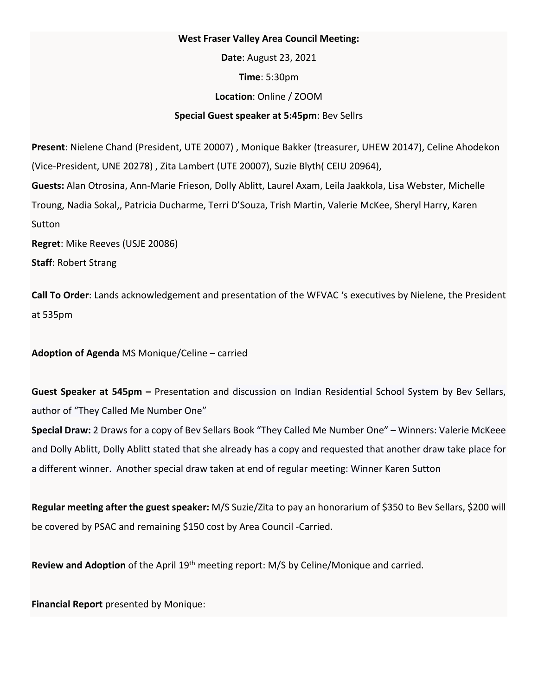## **West Fraser Valley Area Council Meeting:**

**Date**: August 23, 2021 **Time**: 5:30pm **Location**: Online / ZOOM **Special Guest speaker at 5:45pm**: Bev Sellrs

**Present**: Nielene Chand (President, UTE 20007) , Monique Bakker (treasurer, UHEW 20147), Celine Ahodekon (Vice-President, UNE 20278) , Zita Lambert (UTE 20007), Suzie Blyth( CEIU 20964), **Guests:** Alan Otrosina, Ann-Marie Frieson, Dolly Ablitt, Laurel Axam, Leila Jaakkola, Lisa Webster, Michelle Troung, Nadia Sokal,, Patricia Ducharme, Terri D'Souza, Trish Martin, Valerie McKee, Sheryl Harry, Karen Sutton **Regret**: Mike Reeves (USJE 20086)

**Staff**: Robert Strang

**Call To Order**: Lands acknowledgement and presentation of the WFVAC 's executives by Nielene, the President at 535pm

**Adoption of Agenda** MS Monique/Celine – carried

**Guest Speaker at 545pm –** Presentation and discussion on Indian Residential School System by Bev Sellars, author of "They Called Me Number One"

**Special Draw:** 2 Draws for a copy of Bev Sellars Book "They Called Me Number One" – Winners: Valerie McKeee and Dolly Ablitt, Dolly Ablitt stated that she already has a copy and requested that another draw take place for a different winner. Another special draw taken at end of regular meeting: Winner Karen Sutton

**Regular meeting after the guest speaker:** M/S Suzie/Zita to pay an honorarium of \$350 to Bev Sellars, \$200 will be covered by PSAC and remaining \$150 cost by Area Council -Carried.

Review and Adoption of the April 19<sup>th</sup> meeting report: M/S by Celine/Monique and carried.

**Financial Report** presented by Monique: